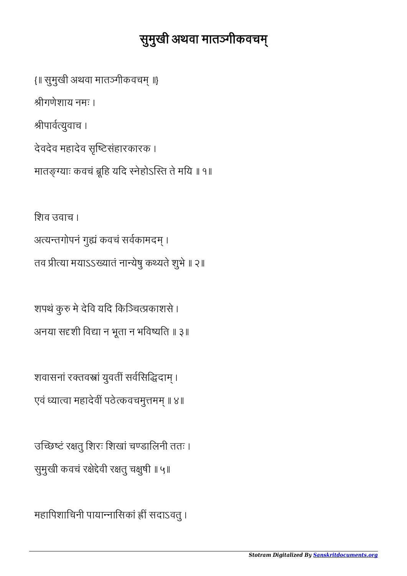## सुमुखी अथवा मातञ्गीकवचम्

{॥ सुमुखी अथवा मातगीकवच ॥} श्रीगणेशाय नमः । श्रीपार्वत्युवाच । देवदेव महादेव सृष्टिसंहारकारक ।

िशव उवाच । अत्यन्तगोपनं गुह्यं कवचं सर्वकामदम् । तव प्रीत्या मयाऽऽख्यातं नान्येषु कथ्यते शुभे ॥ २॥

मातङ्ग्याः कवचं ब्रूहि यदि स्नेहोऽस्ति ते मयि ॥ १॥

शपथं कुरु मे देवि यदि किञ्चित्प्रकाशसे । अनया सदृशी विद्या न भूता न भविष्यति ॥ ३॥

शवासनां रक्तवस्त्रां युवतीं सर्वसिद्धिदाम् । एवं ध्यात्वा महादेवीं पठेत्कवचमुत्तमम् ॥ ४॥

उच्छिष्टं रक्षतु शिरः शिखां चण्डालिनी ततः । सुमुखी कवचं रक्षेद्देवी रक्षतु चक्षुषी ॥ ५॥

महािपशािचनी पायानािसकां सदाऽवतु ।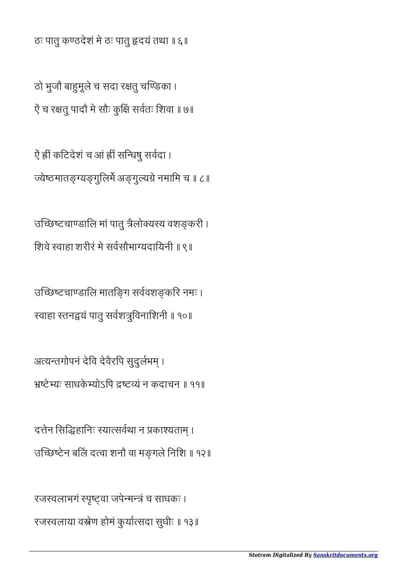ठः पातु कठदेशं मे ठः पातु दयं तथा ॥ ६॥

ठो भूजौ बाहुमूले च सदा रक्षतू चण्डिका । ऐं च रक्षतु पादौ मे सौः कुक्षिं सर्वतः शिवा ॥ ७॥

ऐं ह्रीं कटिदेशं च आं ह्रीं सन्धिषु सर्वदा । ज्येष्ठमातङ्ग्यङ्गूलिर्मे अङ्गुल्यग्रे नमामि च ॥ ८॥

उच्छिष्टचाण्डालि मां पातु त्रैलोक्यस्य वशङ्करी । िशवे वाहा शरीरं मे सवसौभायदाियनी ॥ ९॥

उच्छिष्टचाण्डालि मातङ्गि सर्ववशङ्करि नमः । स्वाहा स्तनद्वयं पातु सर्वशत्रुविनाशिनी ॥ १०॥

अत्यन्तगोपनं देवि देवैरपि सुदुर्लभम् । टेयः साधके योऽिप टयं न कदाचन ॥ ११॥

दत्तेन सिद्धिहानिः स्यात्सर्वथा न प्रकाश्यताम् । उच्छिष्टेन बलिं दत्वा शनौ वा मङ्गले निशि ॥ १२॥

रजस्वलाभगं स्पृष्ट्वा जपेन्मन्त्रं च साधकः । रजस्वलाया वस्त्रेण होमं कुर्यात्सदा सुधीः ॥ १३॥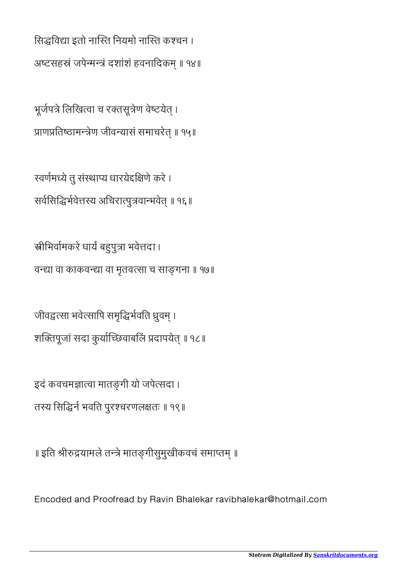सिद्धविद्या इतो नास्ति नियमो नास्ति कश्चन । अष्टसहस्रं जपेन्मन्त्रं दशांशं हवनादिकम् ॥ १४॥

भूर्जपत्रे लिखित्वा च रक्तसूत्रेण वेष्टयेत् । प्राणप्रतिष्ठामन्त्रेण जीवन्यासं समाचरेत् ॥ १५॥

स्वर्णमध्ये तु संस्थाप्य धारयेदक्षिणे करे । सर्वसिद्धिर्भवेत्तस्य अचिरात्पुत्रवान्भवेत् ॥ १६॥

स्रीभिर्वामकरे धार्यं बहुपुत्रा भवेत्तदा । वन्द्या वा काकवन्द्या वा मृतवत्सा च साङ्गना ॥ १७॥

जीवद्वत्सा भवेत्सापि समृद्धिर्भवति ध्रुवम् । शक्तिपूजां सदा कुर्याच्छिवाबलिं प्रदापयेत् ॥ १८॥

इदं कवचमज्ञात्वा मातङ्गी यो जपेत्सदा । तस्य सिद्धिर्न भवति पुरश्चरणलक्षतः ॥ १९॥

॥ इति श्रीरुद्रयामले तन्त्रे मातङ्गीसुमुखीकवचं समाप्तम् ॥

Encoded and Proofread by Ravin Bhalekar ravibhalekar@hotmail.com